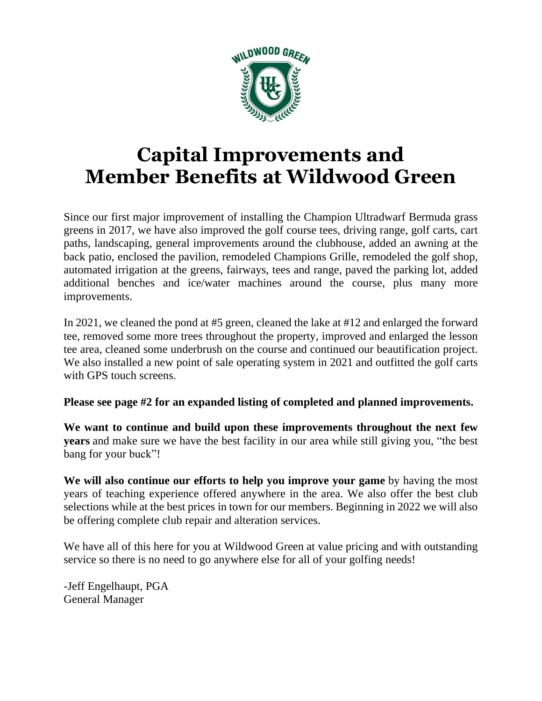

# **Capital Improvements and Member Benefits at Wildwood Green**

Since our first major improvement of installing the Champion Ultradwarf Bermuda grass greens in 2017, we have also improved the golf course tees, driving range, golf carts, cart paths, landscaping, general improvements around the clubhouse, added an awning at the back patio, enclosed the pavilion, remodeled Champions Grille, remodeled the golf shop, automated irrigation at the greens, fairways, tees and range, paved the parking lot, added additional benches and ice/water machines around the course, plus many more improvements.

In 2021, we cleaned the pond at #5 green, cleaned the lake at #12 and enlarged the forward tee, removed some more trees throughout the property, improved and enlarged the lesson tee area, cleaned some underbrush on the course and continued our beautification project. We also installed a new point of sale operating system in 2021 and outfitted the golf carts with GPS touch screens.

**Please see page #2 for an expanded listing of completed and planned improvements.**

**We want to continue and build upon these improvements throughout the next few years** and make sure we have the best facility in our area while still giving you, "the best bang for your buck"!

**We will also continue our efforts to help you improve your game** by having the most years of teaching experience offered anywhere in the area. We also offer the best club selections while at the best prices in town for our members. Beginning in 2022 we will also be offering complete club repair and alteration services.

We have all of this here for you at Wildwood Green at value pricing and with outstanding service so there is no need to go anywhere else for all of your golfing needs!

-Jeff Engelhaupt, PGA General Manager